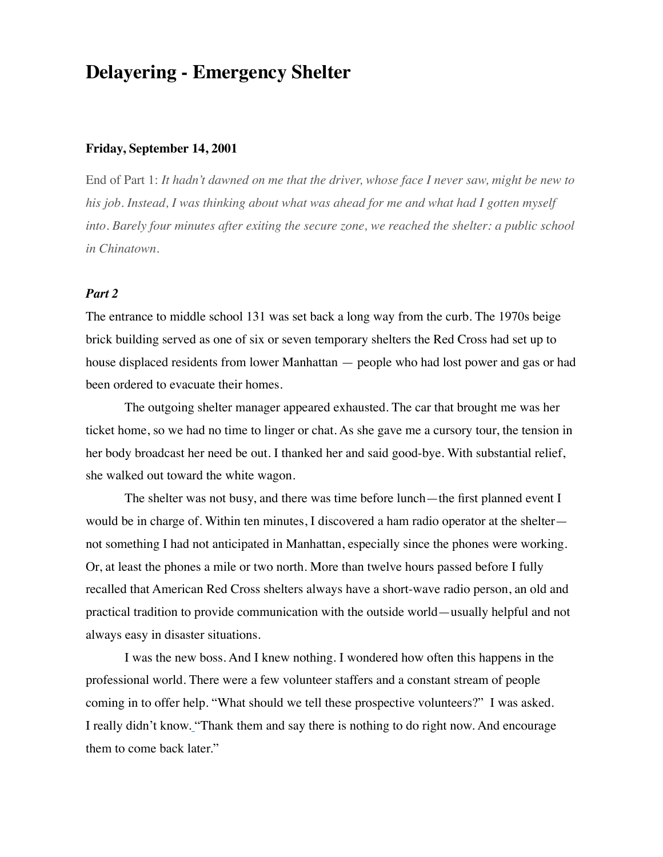## **Delayering - Emergency Shelter**

## **Friday, September 14, 2001**

End of Part 1: *It hadn't dawned on me that the driver, whose face I never saw, might be new to his job. Instead, I was thinking about what was ahead for me and what had I gotten myself into. Barely four minutes after exiting the secure zone, we reached the shelter: a public school in Chinatown.* 

## *Part 2*

The entrance to middle school 131 was set back a long way from the curb. The 1970s beige brick building served as one of six or seven temporary shelters the Red Cross had set up to house displaced residents from lower Manhattan — people who had lost power and gas or had been ordered to evacuate their homes.

The outgoing shelter manager appeared exhausted. The car that brought me was her ticket home, so we had no time to linger or chat. As she gave me a cursory tour, the tension in her body broadcast her need be out. I thanked her and said good-bye. With substantial relief, she walked out toward the white wagon.

The shelter was not busy, and there was time before lunch—the first planned event I would be in charge of. Within ten minutes, I discovered a ham radio operator at the shelter not something I had not anticipated in Manhattan, especially since the phones were working. Or, at least the phones a mile or two north. More than twelve hours passed before I fully recalled that American Red Cross shelters always have a short-wave radio person, an old and practical tradition to provide communication with the outside world—usually helpful and not always easy in disaster situations.

I was the new boss. And I knew nothing. I wondered how often this happens in the professional world. There were a few volunteer staffers and a constant stream of people coming in to offer help. "What should we tell these prospective volunteers?" I was asked. I really didn't know. "Thank them and say there is nothing to do right now. And encourage them to come back later."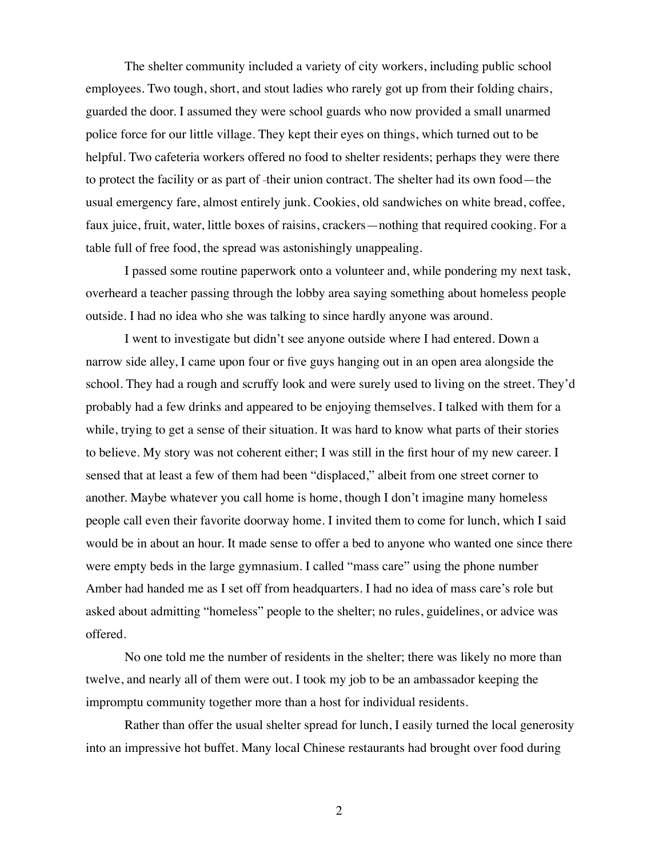The shelter community included a variety of city workers, including public school employees. Two tough, short, and stout ladies who rarely got up from their folding chairs, guarded the door. I assumed they were school guards who now provided a small unarmed police force for our little village. They kept their eyes on things, which turned out to be helpful. Two cafeteria workers offered no food to shelter residents; perhaps they were there to protect the facility or as part of -their union contract. The shelter had its own food—the usual emergency fare, almost entirely junk. Cookies, old sandwiches on white bread, coffee, faux juice, fruit, water, little boxes of raisins, crackers—nothing that required cooking. For a table full of free food, the spread was astonishingly unappealing.

I passed some routine paperwork onto a volunteer and, while pondering my next task, overheard a teacher passing through the lobby area saying something about homeless people outside. I had no idea who she was talking to since hardly anyone was around.

I went to investigate but didn't see anyone outside where I had entered. Down a narrow side alley, I came upon four or five guys hanging out in an open area alongside the school. They had a rough and scruffy look and were surely used to living on the street. They'd probably had a few drinks and appeared to be enjoying themselves. I talked with them for a while, trying to get a sense of their situation. It was hard to know what parts of their stories to believe. My story was not coherent either; I was still in the first hour of my new career. I sensed that at least a few of them had been "displaced," albeit from one street corner to another. Maybe whatever you call home is home, though I don't imagine many homeless people call even their favorite doorway home. I invited them to come for lunch, which I said would be in about an hour. It made sense to offer a bed to anyone who wanted one since there were empty beds in the large gymnasium. I called "mass care" using the phone number Amber had handed me as I set off from headquarters. I had no idea of mass care's role but asked about admitting "homeless" people to the shelter; no rules, guidelines, or advice was offered.

No one told me the number of residents in the shelter; there was likely no more than twelve, and nearly all of them were out. I took my job to be an ambassador keeping the impromptu community together more than a host for individual residents.

Rather than offer the usual shelter spread for lunch, I easily turned the local generosity into an impressive hot buffet. Many local Chinese restaurants had brought over food during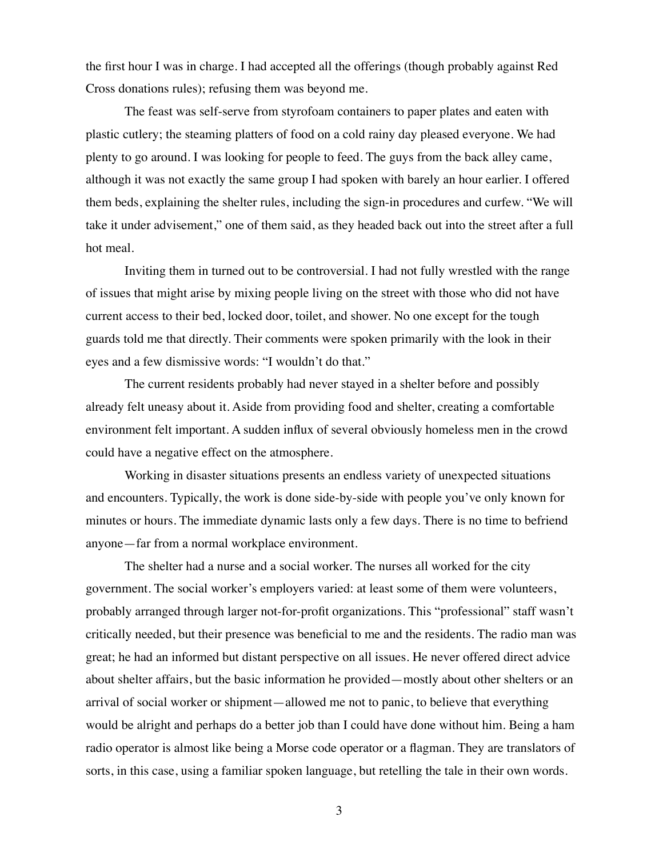the first hour I was in charge. I had accepted all the offerings (though probably against Red Cross donations rules); refusing them was beyond me.

The feast was self-serve from styrofoam containers to paper plates and eaten with plastic cutlery; the steaming platters of food on a cold rainy day pleased everyone. We had plenty to go around. I was looking for people to feed. The guys from the back alley came, although it was not exactly the same group I had spoken with barely an hour earlier. I offered them beds, explaining the shelter rules, including the sign-in procedures and curfew. "We will take it under advisement," one of them said, as they headed back out into the street after a full hot meal.

Inviting them in turned out to be controversial. I had not fully wrestled with the range of issues that might arise by mixing people living on the street with those who did not have current access to their bed, locked door, toilet, and shower. No one except for the tough guards told me that directly. Their comments were spoken primarily with the look in their eyes and a few dismissive words: "I wouldn't do that."

The current residents probably had never stayed in a shelter before and possibly already felt uneasy about it. Aside from providing food and shelter, creating a comfortable environment felt important*.* A sudden influx of several obviously homeless men in the crowd could have a negative effect on the atmosphere.

Working in disaster situations presents an endless variety of unexpected situations and encounters. Typically, the work is done side-by-side with people you've only known for minutes or hours. The immediate dynamic lasts only a few days. There is no time to befriend anyone—far from a normal workplace environment.

The shelter had a nurse and a social worker. The nurses all worked for the city government. The social worker's employers varied: at least some of them were volunteers, probably arranged through larger not-for-profit organizations. This "professional" staff wasn't critically needed, but their presence was beneficial to me and the residents. The radio man was great; he had an informed but distant perspective on all issues. He never offered direct advice about shelter affairs, but the basic information he provided—mostly about other shelters or an arrival of social worker or shipment—allowed me not to panic, to believe that everything would be alright and perhaps do a better job than I could have done without him. Being a ham radio operator is almost like being a Morse code operator or a flagman. They are translators of sorts, in this case, using a familiar spoken language, but retelling the tale in their own words.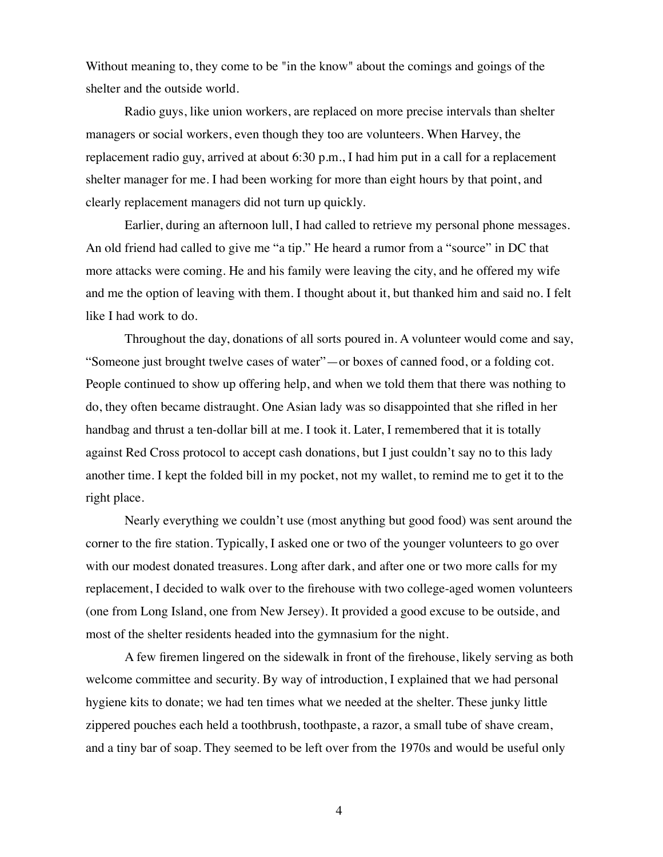Without meaning to, they come to be "in the know" about the comings and goings of the shelter and the outside world.

Radio guys, like union workers, are replaced on more precise intervals than shelter managers or social workers, even though they too are volunteers. When Harvey, the replacement radio guy, arrived at about 6:30 p.m., I had him put in a call for a replacement shelter manager for me. I had been working for more than eight hours by that point, and clearly replacement managers did not turn up quickly.

Earlier, during an afternoon lull, I had called to retrieve my personal phone messages. An old friend had called to give me "a tip." He heard a rumor from a "source" in DC that more attacks were coming. He and his family were leaving the city, and he offered my wife and me the option of leaving with them. I thought about it, but thanked him and said no. I felt like I had work to do.

Throughout the day, donations of all sorts poured in. A volunteer would come and say, "Someone just brought twelve cases of water"—or boxes of canned food, or a folding cot. People continued to show up offering help, and when we told them that there was nothing to do, they often became distraught. One Asian lady was so disappointed that she rifled in her handbag and thrust a ten-dollar bill at me. I took it. Later, I remembered that it is totally against Red Cross protocol to accept cash donations, but I just couldn't say no to this lady another time. I kept the folded bill in my pocket, not my wallet, to remind me to get it to the right place.

Nearly everything we couldn't use (most anything but good food) was sent around the corner to the fire station. Typically, I asked one or two of the younger volunteers to go over with our modest donated treasures. Long after dark, and after one or two more calls for my replacement, I decided to walk over to the firehouse with two college-aged women volunteers (one from Long Island, one from New Jersey). It provided a good excuse to be outside, and most of the shelter residents headed into the gymnasium for the night.

A few firemen lingered on the sidewalk in front of the firehouse, likely serving as both welcome committee and security. By way of introduction, I explained that we had personal hygiene kits to donate; we had ten times what we needed at the shelter. These junky little zippered pouches each held a toothbrush, toothpaste, a razor, a small tube of shave cream, and a tiny bar of soap. They seemed to be left over from the 1970s and would be useful only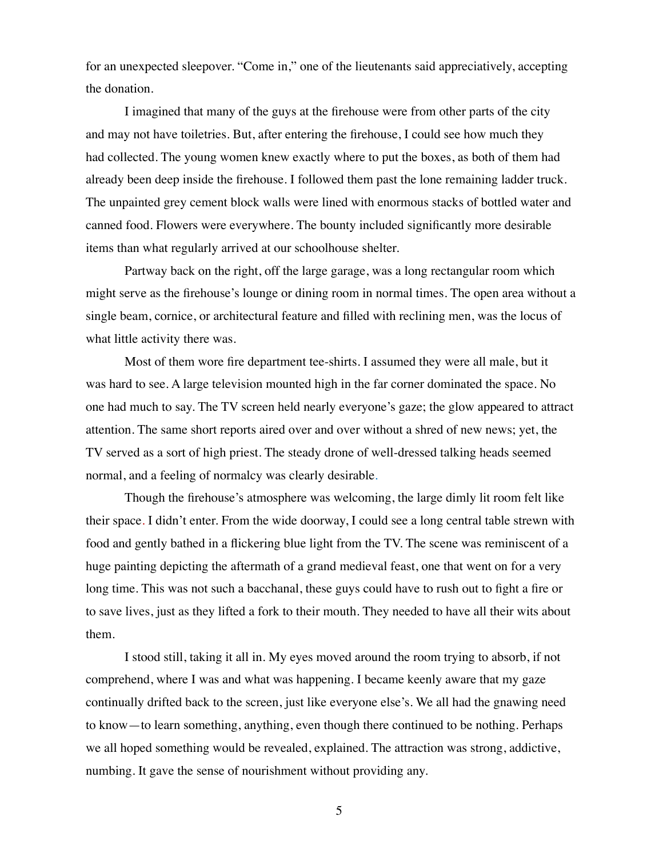for an unexpected sleepover. "Come in," one of the lieutenants said appreciatively, accepting the donation.

I imagined that many of the guys at the firehouse were from other parts of the city and may not have toiletries. But, after entering the firehouse, I could see how much they had collected. The young women knew exactly where to put the boxes, as both of them had already been deep inside the firehouse. I followed them past the lone remaining ladder truck. The unpainted grey cement block walls were lined with enormous stacks of bottled water and canned food. Flowers were everywhere. The bounty included significantly more desirable items than what regularly arrived at our schoolhouse shelter.

Partway back on the right, off the large garage, was a long rectangular room which might serve as the firehouse's lounge or dining room in normal times. The open area without a single beam, cornice, or architectural feature and filled with reclining men, was the locus of what little activity there was.

Most of them wore fire department tee-shirts. I assumed they were all male, but it was hard to see. A large television mounted high in the far corner dominated the space. No one had much to say. The TV screen held nearly everyone's gaze; the glow appeared to attract attention. The same short reports aired over and over without a shred of new news; yet, the TV served as a sort of high priest. The steady drone of well-dressed talking heads seemed normal, and a feeling of normalcy was clearly desirable*.*

Though the firehouse's atmosphere was welcoming, the large dimly lit room felt like their space. I didn't enter. From the wide doorway, I could see a long central table strewn with food and gently bathed in a flickering blue light from the TV. The scene was reminiscent of a huge painting depicting the aftermath of a grand medieval feast, one that went on for a very long time. This was not such a bacchanal, these guys could have to rush out to fight a fire or to save lives, just as they lifted a fork to their mouth. They needed to have all their wits about them*.* 

I stood still, taking it all in. My eyes moved around the room trying to absorb, if not comprehend, where I was and what was happening. I became keenly aware that my gaze continually drifted back to the screen, just like everyone else's. We all had the gnawing need to know—to learn something, anything, even though there continued to be nothing. Perhaps we all hoped something would be revealed, explained. The attraction was strong, addictive, numbing. It gave the sense of nourishment without providing any.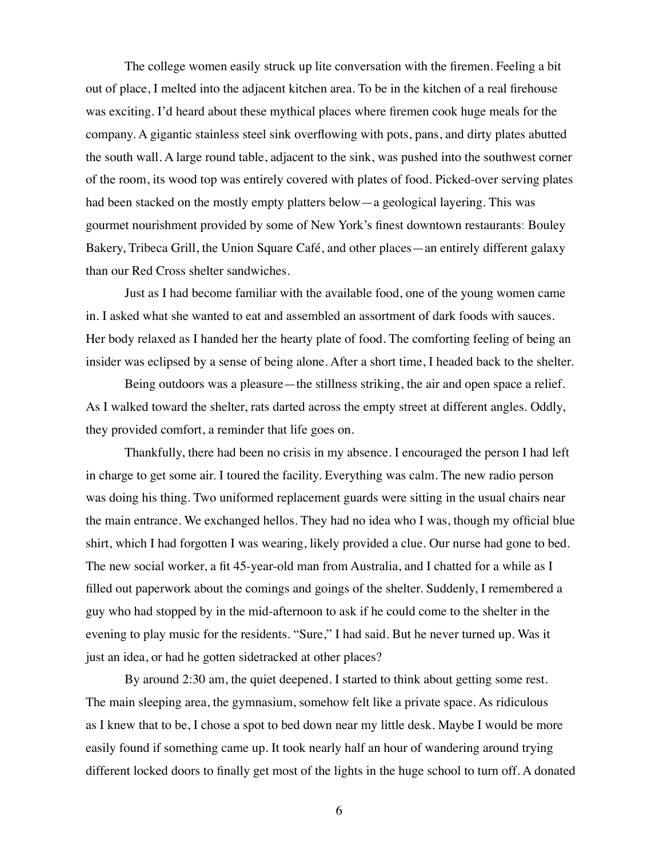The college women easily struck up lite conversation with the firemen. Feeling a bit out of place, I melted into the adjacent kitchen area. To be in the kitchen of a real firehouse was exciting. I'd heard about these mythical places where firemen cook huge meals for the company. A gigantic stainless steel sink overflowing with pots, pans, and dirty plates abutted the south wall. A large round table, adjacent to the sink, was pushed into the southwest corner of the room, its wood top was entirely covered with plates of food. Picked-over serving plates had been stacked on the mostly empty platters below—a geological layering. This was gourmet nourishment provided by some of New York's finest downtown restaurants: Bouley Bakery, Tribeca Grill, the Union Square Café, and other places—an entirely different galaxy than our Red Cross shelter sandwiches.

Just as I had become familiar with the available food, one of the young women came in. I asked what she wanted to eat and assembled an assortment of dark foods with sauces. Her body relaxed as I handed her the hearty plate of food. The comforting feeling of being an insider was eclipsed by a sense of being alone. After a short time, I headed back to the shelter.

Being outdoors was a pleasure—the stillness striking, the air and open space a relief. As I walked toward the shelter, rats darted across the empty street at different angles. Oddly, they provided comfort, a reminder that life goes on.

Thankfully, there had been no crisis in my absence. I encouraged the person I had left in charge to get some air. I toured the facility. Everything was calm. The new radio person was doing his thing. Two uniformed replacement guards were sitting in the usual chairs near the main entrance. We exchanged hellos. They had no idea who I was, though my official blue shirt, which I had forgotten I was wearing, likely provided a clue. Our nurse had gone to bed. The new social worker, a fit 45-year-old man from Australia, and I chatted for a while as I filled out paperwork about the comings and goings of the shelter. Suddenly, I remembered a guy who had stopped by in the mid-afternoon to ask if he could come to the shelter in the evening to play music for the residents. "Sure," I had said. But he never turned up. Was it just an idea, or had he gotten sidetracked at other places?

By around 2:30 am, the quiet deepened. I started to think about getting some rest. The main sleeping area, the gymnasium, somehow felt like a private space. As ridiculous as I knew that to be, I chose a spot to bed down near my little desk. Maybe I would be more easily found if something came up. It took nearly half an hour of wandering around trying different locked doors to finally get most of the lights in the huge school to turn off. A donated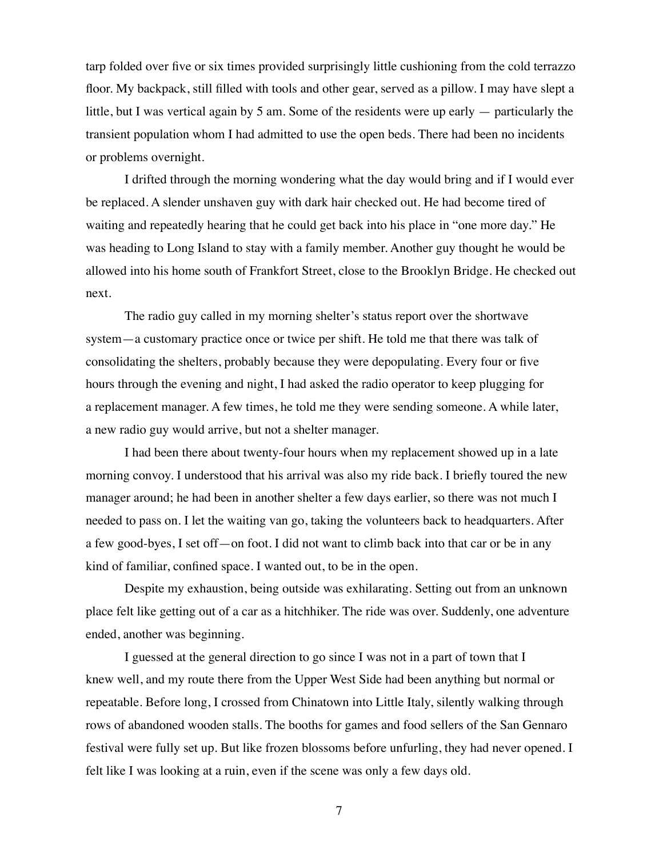tarp folded over five or six times provided surprisingly little cushioning from the cold terrazzo floor. My backpack, still filled with tools and other gear, served as a pillow. I may have slept a little, but I was vertical again by 5 am. Some of the residents were up early — particularly the transient population whom I had admitted to use the open beds. There had been no incidents or problems overnight.

I drifted through the morning wondering what the day would bring and if I would ever be replaced. A slender unshaven guy with dark hair checked out. He had become tired of waiting and repeatedly hearing that he could get back into his place in "one more day." He was heading to Long Island to stay with a family member. Another guy thought he would be allowed into his home south of Frankfort Street, close to the Brooklyn Bridge. He checked out next.

The radio guy called in my morning shelter's status report over the shortwave system—a customary practice once or twice per shift. He told me that there was talk of consolidating the shelters, probably because they were depopulating. Every four or five hours through the evening and night, I had asked the radio operator to keep plugging for a replacement manager. A few times, he told me they were sending someone. A while later, a new radio guy would arrive, but not a shelter manager.

I had been there about twenty-four hours when my replacement showed up in a late morning convoy. I understood that his arrival was also my ride back. I briefly toured the new manager around; he had been in another shelter a few days earlier, so there was not much I needed to pass on. I let the waiting van go, taking the volunteers back to headquarters. After a few good-byes, I set off—on foot. I did not want to climb back into that car or be in any kind of familiar, confined space. I wanted out, to be in the open.

Despite my exhaustion, being outside was exhilarating. Setting out from an unknown place felt like getting out of a car as a hitchhiker. The ride was over. Suddenly, one adventure ended, another was beginning.

I guessed at the general direction to go since I was not in a part of town that I knew well, and my route there from the Upper West Side had been anything but normal or repeatable. Before long, I crossed from Chinatown into Little Italy, silently walking through rows of abandoned wooden stalls. The booths for games and food sellers of the San Gennaro festival were fully set up. But like frozen blossoms before unfurling, they had never opened. I felt like I was looking at a ruin, even if the scene was only a few days old.